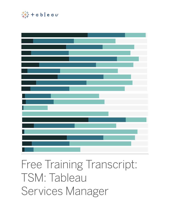

# Free Training Transcript: TSM: Tableau Services Manager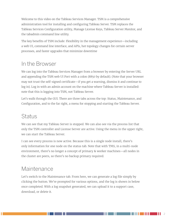Welcome to this video on the Tableau Services Manager. TSM is a comprehensive administration tool for installing and configuring Tableau Server. TSM replaces the Tableau Services Configuration utility, Manage License Keys, Tableau Server Monitor, and the tabadmin command line utility.

The key benefits of TSM include: Flexibility in the management experience—including a web UI, command line interface, and APIs, hot topology changes for certain server processes, and faster upgrades that minimize downtime

## In the Browser

We can log into the Tableau Services Manager from a browser by entering the Server URL and appending the TSM web UI Port with a colon (8850 by default). (Note that your browser may not trust the self-signed certificate—if you get a warning, dismiss it and continue to log in). Log in with an admin account on the machine where Tableau Server is installed: note that this is logging into TSM, not Tableau Server.

Let's walk through the GUI. There are three tabs across the top: Status, Maintenance, and Configuration, and to the far right, a menu for stopping and starting the Tableau Server.

#### Status

We can see that my Tableau Server is stopped. We can also see via the process list that only the TSM controller and License Server are active. Using the menu in the upper right, we can start the Tableau Server.

I can see every process is now active. Because this is a single node install, there's only information for one node on the status tab. Note that with TMS, in a multi-node environment, there's no longer a concept of primary & worker machines—all nodes in the cluster are peers, so there's no backup primary required.

#### **Maintenance**

Let's switch to the Maintenance tab. From here, we can generate a log file simply by clicking the button. We're prompted for various options, and the log is shown in below once completed. With a log snapshot generated, we can upload it to a support case, download, or delete it.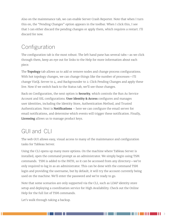Also on the maintenance tab, we can enable Server Crash Reporter. Note that when I turn this on, the "Pending Changes" option appears in the toolbar. When I click this, I see that I can either discard the pending changes or apply them, which requires a restart. I'll discard for now.

## Configuration

The configuration tab is the most robust. The left hand pane has several tabs—as we click through them, keep an eye out for links to the Help for more information about each piece.

The **Topology** tab allows us to add or remove nodes and change process configurations. With hot topology changes, we can change things like the number of processes—I'll change VizQL Server to 4, and Backgrounder to 2. Click Pending Changes and apply these live. Now if we switch back to the Status tab, we'll see those changes.

Back on Configuration, the next option is **Security**, which controls the Run As Service Account and SSL configurations. **User Identity & Access** configures and manages user identities, including the Identity Store, Authentication Method, and Trusted Authentication. Next is **Notifications** – here we can configure the email server for email notifications, and determine which events will trigger these notification. Finally, **Licensing** allows us to manage product keys.

#### GUI and CLI

The web GUI allows easy, visual access to many of the maintenance and configuration tasks for Tableau Server.

Using the CLI opens up many more options. On the machine where Tableau Server is installed, open the command prompt as an administrator. We simply begin using TSM commands. TSM is added to the PATH, so it can be accessed from any directory—we're only required to log in as an administrator. This can be done with the command TSM login and providing the username, but by default, it will try the account currently being used on the machine. We'll enter the password and we're ready to go.

Note that some scenarios are only supported via the CLI, such as LDAP identity store setup and deploying a coordination service for High Availability. Check out the Online Help for the full list of TSM commands.

Let's walk through taking a backup.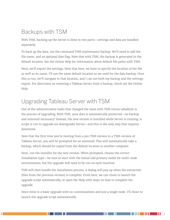## Backups with TSM

With TSM, backing up the Server is done in two parts—settings and data are handled separately.

To back up the data, use the command TSM maintenance backup. We'll need to add the file name, and an optional date flag. Note that with TSM, the backup is generated in the default location. See the Online Help for information about default file paths with TSM.

Next, we'll export the settings. Note that here, we have to specify the location of the file as well as its name. I'll use the same default location as we used for the data backup. Once this is run, we'll navigate to that location, and I can see both my backup and the settings export. For directions on restoring a Tableau Server from a backup, check out the Online Help.

## Upgrading Tableau Server with TSM

One of the administrative tasks that changed the most with TSM versus tabadmin is the process of upgrading. With TSM, your data is automatically preserved—no backup and uninstall necessary! Instead, the new version is installed while Server is running. A script is run to upgrade (or downgrade) Server—and this is the only step that requires downtime.

Note that the first time you're moving from a pre-TSM version to a TSM-version of Tableau Server, you will be prompted for an uninstall. This will automatically take a backup, which should be copied from the default location to another computer.

Next, run the installer for the new version. When prompted, choose the correct Installation type—be sure to start with the initial (old primary node) for multi-node environments, but the upgrade will need to be run on each machine.

TSM will then handle the installation process. A dialog will pop up when the extraction (files from the previous version) is complete. From here, we can chose to launch the upgrade script automatically, or open the Help with steps on how to complete the upgrade.

Since mine is a basic upgrade with no customizations and just a single node, I'll chose to launch the upgrade script automatically.